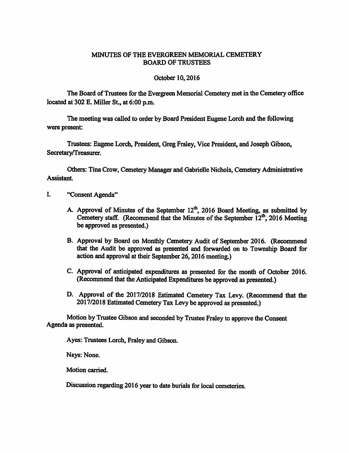## MINUTES OF THE EVERGREEN MEMORIAL CEMETERY BOARD OF TRUSTEES

## October 10,2016

The Board of Trustees for the Evergreen Memorial Cemetery met in the Cemetery office located at 302 E. Miller St., at 6:00 p.m.

The meeting was called to order by Board President Eugene Lorch and the following were present:

Trustees: Eugene Lorch, President, Greg Fraley, Vice President, and Joseph Gibson, Secretary/Treasurer,

Others: Tina Crow, Cemetery Manager and Gabrielle Nichols, Cemetery Administrative Assistant.

- I. "Consent Agenda"
	- A. Approval of Minutes of the September  $12^\text{th}$ , 2016 Board Meeting, as submitted by Cemetery staff. (Recommend that the Minutes of the September  $12^{th}$ , 2016 Meeting be approved as presented.)
	- B. Approval by Board on Monthly Cemetery Audit of September 2016. (Recommend that the Audit be approved as presented and forwarded on to Township Board for action and approval at their September 26, 2016 meeting.)
	- C. Approval of anticipated expenditures as presented for the month of October 2016. (Recommend that the Anticipated Expenditures be approved as presented.)
	- D. Approval of the 2017/2018 Estimated Cemetery Tax Levy. (Recommend that the 2017/2018 Estimated Cemetery Tax Levy be approved as presented.)

Motion by Trustee Gibson and seconded by Trustee Fraley to approve the Consent Agenda as presented.

Ayes: Trustees Lorch, Fraley and Gibson.

Nays: None.

Motion carried.

Discussion regarding 2016 year to date burials for local cemeteries.